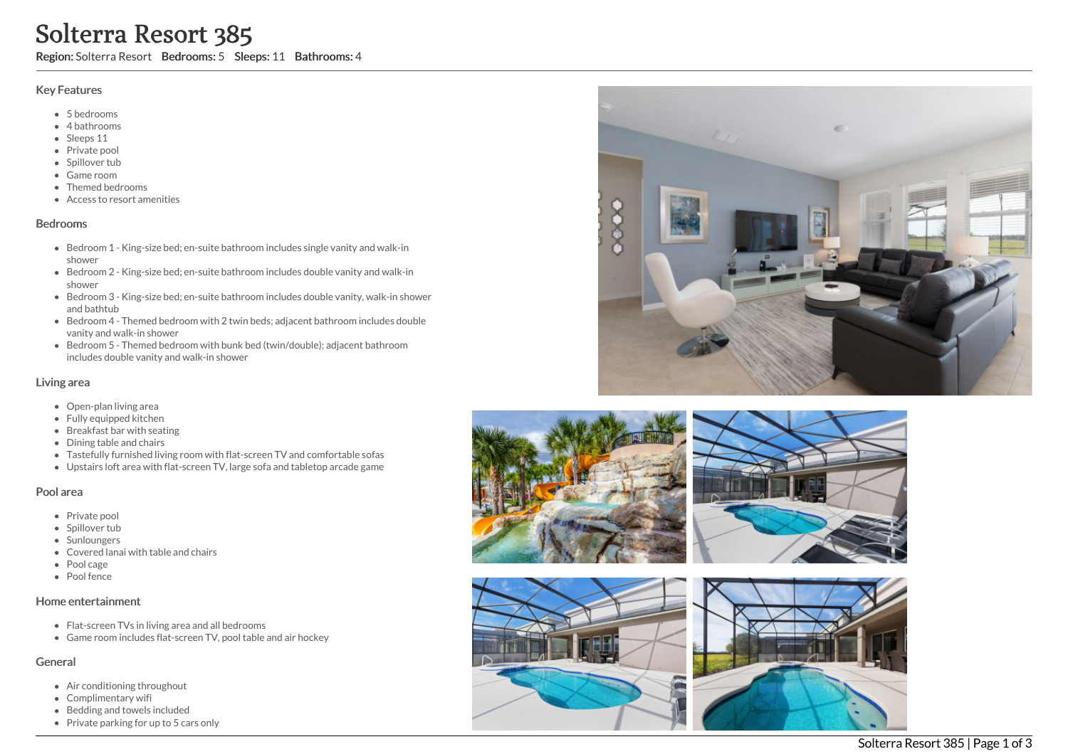# Solterra Resort 385

Region: Solterra Resort Bedrooms: 5 Sleeps: 11 Bathrooms: 4

### Key Features

- 5 b e d r o o m s
- 4 bathrooms
- Sleeps 11
- Private pool
- Spillover tub
- Game room
- Themed bedr o o m s
- Access to resort amenities

## **Bedrooms**

- Bedroom 1 King-size bed; en-suite bathroom includes single vanity and walk-in s h o w e r
- Bedroom 2 King-size bed; en-suite bathroom includes double vanity and walk-in s h o w e r
- Bedroom 3 King-size bed; en-suite bathroom includes double vanity, walk-in shower and bathtub
- Bedroom 4 Themed bedroom with 2 twin beds; adjacent bathroom includes double vanity and walk-in shower
- Bedroom 5 Themed bedroom with bunk bed (twin/double); adjacent bathroom includes double vanity and walk-in shower

## Living area

- Open-plan living area
- Fully equipped kitchen
- Breakfast bar with seating
- Dining table and chairs
- Tastefully furnished living room with flat-screen TV and comfortable sofas
- Upstairs loft area with flat-screen TV, large sofa and tabletop arcade game

## Pool area

- Private pool
- Spillover tub
- Sunloungers
- Covered lanai with table and chairs
- Pool cage
- Pool fence

# Home entertainment

- Flat-screen TVs in living area and all bedrooms
- Game room includes flat-screen TV, pool table and air hockey

# General

- Air conditioning throughout
- Complimentary wifi
- Bedding and towels in clu d e d
- Private parking for up to 5 cars only









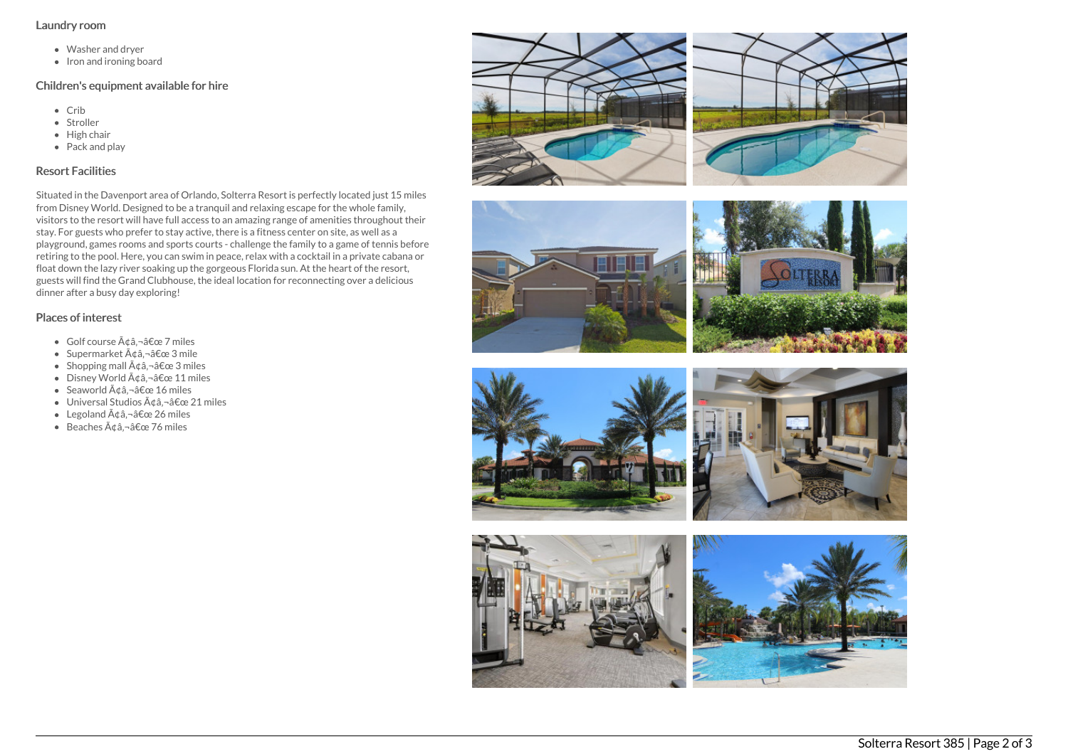#### Laundry room

- Washer and dryer
- Iron and ironing board

# Children's equipment available for hire

- Crib
- Stroller
- $\bullet$  High chair
- Pack and play

# Resort Facilities

Situated in the Davenport area of Orlando, Solterra Resort is perfectly located just 15 miles from Disney World. Designed to be a tranquil and relaxing escape for the whole family, visitors to the resort will have full access to an amazing range of amenities throughout their stay. For guests who prefer to stay active, there is a fitness center on site, as well as a playground, games rooms and sports courts - challenge the family to a game of tennis before retiring to the pool. Here, you can swim in peace, relax with a cocktail in a private cabana or float down the lazy river soaking up the gorgeous Florida sun. At the heart of the resort, guests will find the Grand Clubhouse, the ideal location for reconnecting over a delicious dinner after a busy day exploring!

# Places of interest

- $\bullet$  Golf course  $\tilde{A}$ dâ. â $\epsilon$ œ 7 miles
- Supermarket  $\tilde{A}$ ¢â,¬â€œ 3 mile
- Shopping mall  $\tilde{A} \notin \hat{a}$ ,  $-\hat{a} \notin \text{ce} 3$  miles
- $\bullet$  Disney World  $\tilde{A}$ câ, -â $\epsilon$ œ 11 miles
- Seaworld  $\tilde{A}$ ¢â,¬â€œ 16 miles
- $\bullet$  Universal Studios  $\tilde{A}$ dâ, $\neg$ â $\epsilon$ œ 21 miles
- Legoland  $\tilde{A} \triangleleft \hat{a} \hat{a} \in \mathbb{C}$  26 miles
- $\bullet$  Beaches  $\tilde{A}$ ¢â.¬â€œ 76 miles